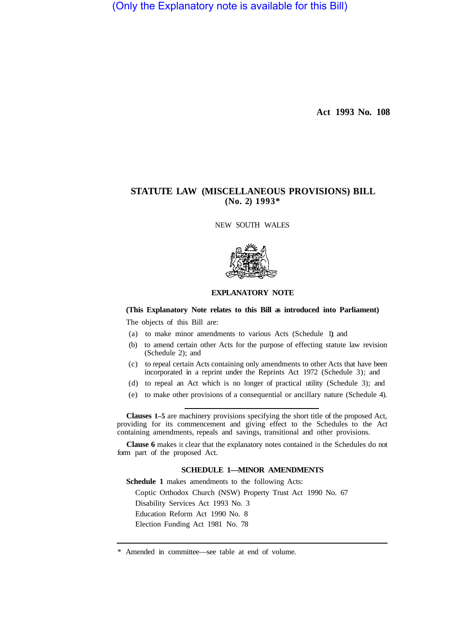(Only the Explanatory note is available for this Bill)

**Act 1993 No. 108** 

# **STATUTE LAW (MISCELLANEOUS PROVISIONS) BILL (No. 2) 1993\***

NEW SOUTH WALES



### **EXPLANATORY NOTE**

#### **(This Explanatory Note relates to this Bill as introduced into Parliament)**

The objects of this Bill are:

- (a) to make minor amendments to various Acts (Schedule 1); and
- (b) to amend certain other Acts for the purpose of effecting statute law revision (Schedule 2); and
- (c) to repeal certain Acts containing only amendments to other Acts that have been incorporated in a reprint under the Reprints Act 1972 (Schedule 3); and
- (d) to repeal an Act which is no longer of practical utility (Schedule 3); and
- (e) to make other provisions of a consequential or ancillary nature (Schedule 4).

**Clauses 1–5** are machinery provisions specifying the short title of the proposed Act, providing for its commencement and giving effect to the Schedules to the Act containing amendments, repeals and savings, transitional and other provisions.

**Clause 6** makes it clear that the explanatory notes contained in the Schedules do not form part of the proposed Act.

### **SCHEDULE 1—MINOR AMENDMENTS**

**Schedule 1** makes amendments to the following Acts: Coptic Orthodox Church (NSW) Property Trust Act 1990 No. 67 Disability Services Act 1993 No. 3 Education Reform Act 1990 No. 8 Election Funding Act 1981 No. 78

<sup>\*</sup> Amended in committee—see table at end of volume.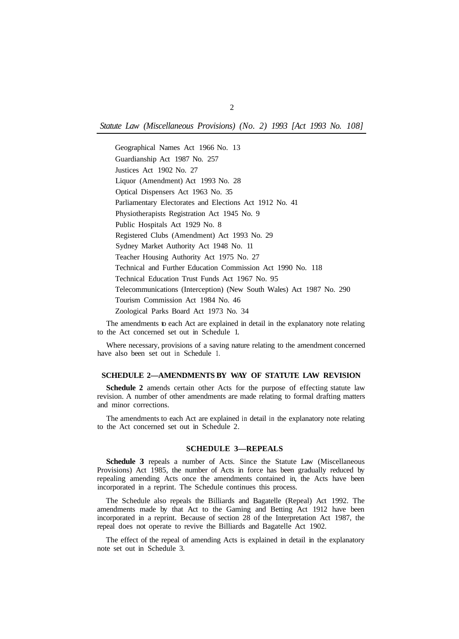*Statute Law (Miscellaneous Provisions) (No. 2) 1993 [Act 1993 No. 108]* 

Geographical Names Act 1966 No. 13 Guardianship Act 1987 No. 257 Justices Act 1902 No. 27 Liquor (Amendment) Act 1993 No. 28 Optical Dispensers Act 1963 No. 35 Parliamentary Electorates and Elections Act 1912 No. 41 Physiotherapists Registration Act 1945 No. 9 Public Hospitals Act 1929 No. 8 Registered Clubs (Amendment) Act 1993 No. 29 Sydney Market Authority Act 1948 No. 11 Teacher Housing Authority Act 1975 No. 27 Technical and Further Education Commission Act 1990 No. 118 Technical Education Trust Funds Act 1967 No. 95 Telecommunications (Interception) (New South Wales) Act 1987 No. 290 Tourism Commission Act 1984 No. 46 Zoological Parks Board Act 1973 No. 34

The amendments to each Act are explained in detail in the explanatory note relating to the Act concerned set out in Schedule 1.

Where necessary, provisions of a saving nature relating to the amendment concerned have also been set out in Schedule 1.

# **SCHEDULE 2—AMENDMENTS BY WAY OF STATUTE LAW REVISION**

**Schedule 2** amends certain other Acts for the purpose of effecting statute law revision. A number of other amendments are made relating to formal drafting matters and minor corrections.

The amendments to each Act are explained in detail in the explanatory note relating to the Act concerned set out in Schedule 2.

#### **SCHEDULE 3—REPEALS**

**Schedule 3** repeals a number of Acts. Since the Statute Law (Miscellaneous Provisions) Act 1985, the number of Acts in force has been gradually reduced by repealing amending Acts once the amendments contained in, the Acts have been incorporated in a reprint. The Schedule continues this process.

The Schedule also repeals the Billiards and Bagatelle (Repeal) Act 1992. The amendments made by that Act to the Gaming and Betting Act 1912 have been incorporated in a reprint. Because of section 28 of the Interpretation Act 1987, the repeal does not operate to revive the Billiards and Bagatelle Act 1902.

The effect of the repeal of amending Acts is explained in detail in the explanatory note set out in Schedule 3.

 $\overline{2}$